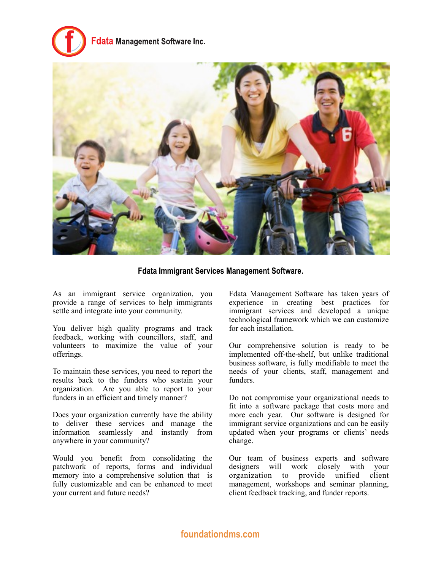# data Management Software Inc.



**Fdata Immigrant Services Management Software.**

As an immigrant service organization, you provide a range of services to help immigrants settle and integrate into your community.

You deliver high quality programs and track feedback, working with councillors, staff, and volunteers to maximize the value of your offerings.

To maintain these services, you need to report the results back to the funders who sustain your organization. Are you able to report to your funders in an efficient and timely manner?

Does your organization currently have the ability to deliver these services and manage the information seamlessly and instantly from anywhere in your community?

Would you benefit from consolidating the patchwork of reports, forms and individual memory into a comprehensive solution that is fully customizable and can be enhanced to meet your current and future needs?

Fdata Management Software has taken years of experience in creating best practices for immigrant services and developed a unique technological framework which we can customize for each installation.

Our comprehensive solution is ready to be implemented off-the-shelf, but unlike traditional business software, is fully modifiable to meet the needs of your clients, staff, management and funders.

Do not compromise your organizational needs to fit into a software package that costs more and more each year. Our software is designed for immigrant service organizations and can be easily updated when your programs or clients' needs change.

Our team of business experts and software designers will work closely with your organization to provide unified client management, workshops and seminar planning, client feedback tracking, and funder reports.